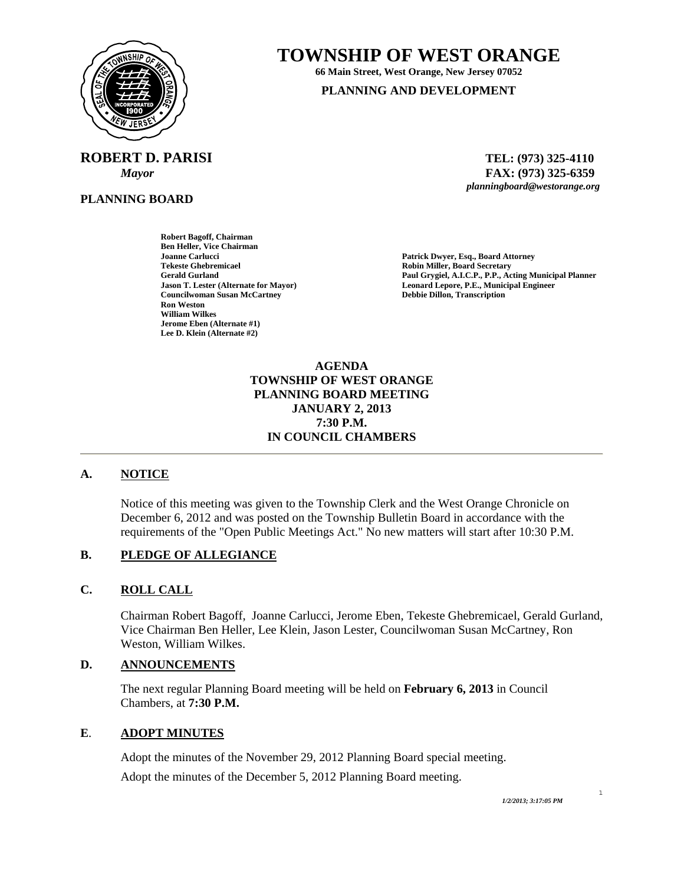

# **TOWNSHIP OF WEST ORANGE**

**66 Main Street, West Orange, New Jersey 07052** 

**PLANNING AND DEVELOPMENT**

**ROBERT D. PARISI TEL: (973) 325-4110** 

**PLANNING BOARD**

 *Mayor* **FAX: (973) 325-6359** *planningboard@westorange.org* 

**Robert Bagoff, Chairman Ben Heller, Vice Chairman Joanne Carlucci Patrick Dwyer, Esq., Board Attorney Tekeste Ghebremicael Robin Miller, Board Secretary Councilwoman Susan McCartney Ron Weston William Wilkes Jerome Eben (Alternate #1) Lee D. Klein (Alternate #2)** 

Paul Grygiel, A.I.C.P., P.P., Acting Municipal Planner **Jason T. Lester (Alternate for Mayor) Leonard Lepore, P.E., Municipal Engineer** 

> **AGENDA TOWNSHIP OF WEST ORANGE PLANNING BOARD MEETING JANUARY 2, 2013 7:30 P.M. IN COUNCIL CHAMBERS**

# **A. NOTICE**

Notice of this meeting was given to the Township Clerk and the West Orange Chronicle on December 6, 2012 and was posted on the Township Bulletin Board in accordance with the requirements of the "Open Public Meetings Act." No new matters will start after 10:30 P.M.

### **B. PLEDGE OF ALLEGIANCE**

## **C. ROLL CALL**

Chairman Robert Bagoff, Joanne Carlucci, Jerome Eben, Tekeste Ghebremicael, Gerald Gurland, Vice Chairman Ben Heller, Lee Klein, Jason Lester, Councilwoman Susan McCartney, Ron Weston, William Wilkes.

## **D. ANNOUNCEMENTS**

The next regular Planning Board meeting will be held on **February 6, 2013** in Council Chambers, at **7:30 P.M.**

## **E**. **ADOPT MINUTES**

 Adopt the minutes of the November 29, 2012 Planning Board special meeting. Adopt the minutes of the December 5, 2012 Planning Board meeting.

1